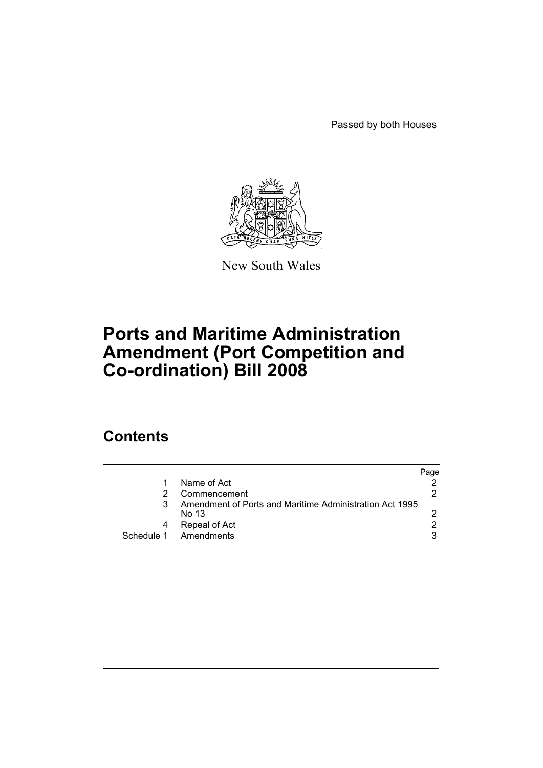Passed by both Houses



New South Wales

# **Ports and Maritime Administration Amendment (Port Competition and Co-ordination) Bill 2008**

## **Contents**

|                                                                  | Page |
|------------------------------------------------------------------|------|
| Name of Act                                                      |      |
| Commencement                                                     |      |
| Amendment of Ports and Maritime Administration Act 1995<br>No 13 |      |
| Repeal of Act                                                    |      |
| Schedule 1 Amendments                                            | 3    |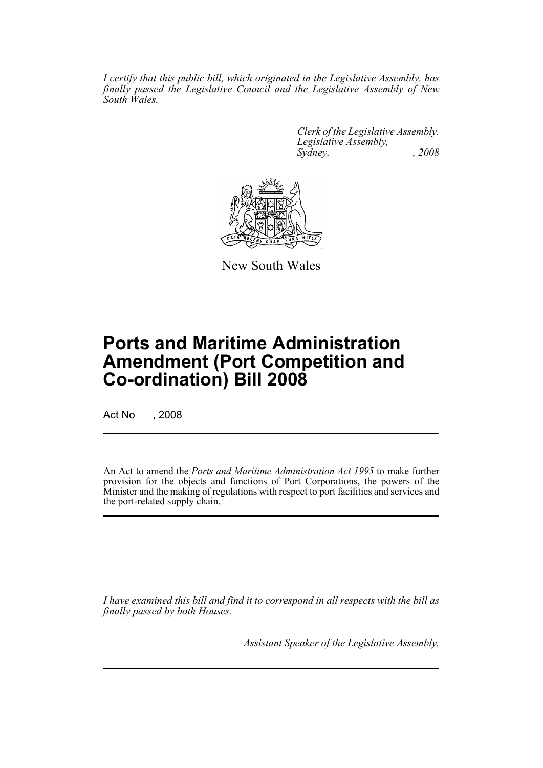*I certify that this public bill, which originated in the Legislative Assembly, has finally passed the Legislative Council and the Legislative Assembly of New South Wales.*

> *Clerk of the Legislative Assembly. Legislative Assembly, Sydney, , 2008*



New South Wales

## **Ports and Maritime Administration Amendment (Port Competition and Co-ordination) Bill 2008**

Act No , 2008

An Act to amend the *Ports and Maritime Administration Act 1995* to make further provision for the objects and functions of Port Corporations, the powers of the Minister and the making of regulations with respect to port facilities and services and the port-related supply chain.

*I have examined this bill and find it to correspond in all respects with the bill as finally passed by both Houses.*

*Assistant Speaker of the Legislative Assembly.*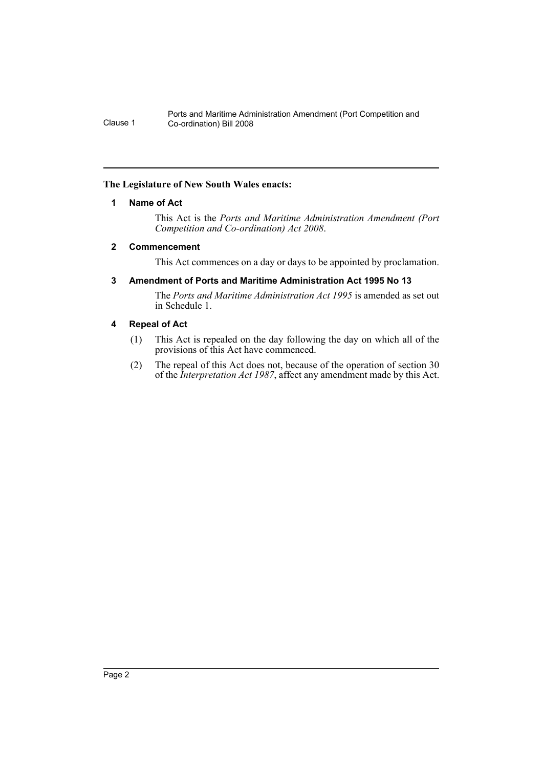#### <span id="page-2-0"></span>**The Legislature of New South Wales enacts:**

#### **1 Name of Act**

This Act is the *Ports and Maritime Administration Amendment (Port Competition and Co-ordination) Act 2008*.

#### <span id="page-2-1"></span>**2 Commencement**

This Act commences on a day or days to be appointed by proclamation.

#### <span id="page-2-2"></span>**3 Amendment of Ports and Maritime Administration Act 1995 No 13**

The *Ports and Maritime Administration Act 1995* is amended as set out in Schedule 1.

#### <span id="page-2-3"></span>**4 Repeal of Act**

- (1) This Act is repealed on the day following the day on which all of the provisions of this Act have commenced.
- (2) The repeal of this Act does not, because of the operation of section 30 of the *Interpretation Act 1987*, affect any amendment made by this Act.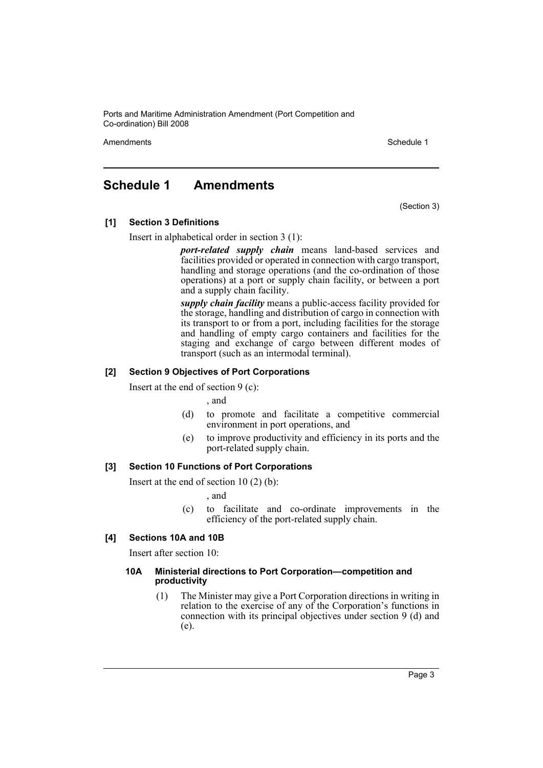Amendments **Amendments** Schedule 1

### <span id="page-3-0"></span>**Schedule 1 Amendments**

(Section 3)

#### **[1] Section 3 Definitions**

Insert in alphabetical order in section 3 (1):

*port-related supply chain* means land-based services and facilities provided or operated in connection with cargo transport, handling and storage operations (and the co-ordination of those operations) at a port or supply chain facility, or between a port and a supply chain facility.

*supply chain facility* means a public-access facility provided for the storage, handling and distribution of cargo in connection with its transport to or from a port, including facilities for the storage and handling of empty cargo containers and facilities for the staging and exchange of cargo between different modes of transport (such as an intermodal terminal).

#### **[2] Section 9 Objectives of Port Corporations**

Insert at the end of section 9 (c):

, and

- (d) to promote and facilitate a competitive commercial environment in port operations, and
- (e) to improve productivity and efficiency in its ports and the port-related supply chain.

#### **[3] Section 10 Functions of Port Corporations**

Insert at the end of section  $10(2)(b)$ :

, and

(c) to facilitate and co-ordinate improvements in the efficiency of the port-related supply chain.

#### **[4] Sections 10A and 10B**

Insert after section 10:

#### **10A Ministerial directions to Port Corporation—competition and productivity**

(1) The Minister may give a Port Corporation directions in writing in relation to the exercise of any of the Corporation's functions in connection with its principal objectives under section 9 (d) and (e).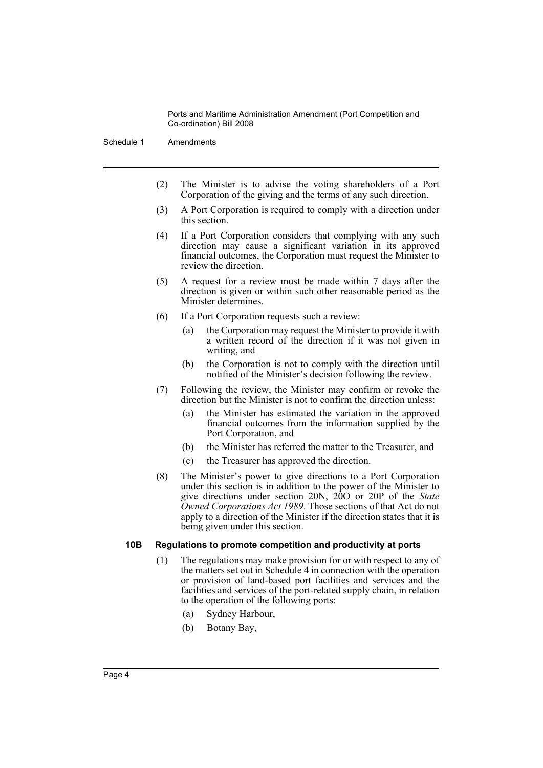Schedule 1 Amendments

- (2) The Minister is to advise the voting shareholders of a Port Corporation of the giving and the terms of any such direction.
- (3) A Port Corporation is required to comply with a direction under this section.
- (4) If a Port Corporation considers that complying with any such direction may cause a significant variation in its approved financial outcomes, the Corporation must request the Minister to review the direction.
- (5) A request for a review must be made within 7 days after the direction is given or within such other reasonable period as the Minister determines.
- (6) If a Port Corporation requests such a review:
	- (a) the Corporation may request the Minister to provide it with a written record of the direction if it was not given in writing, and
	- (b) the Corporation is not to comply with the direction until notified of the Minister's decision following the review.
- (7) Following the review, the Minister may confirm or revoke the direction but the Minister is not to confirm the direction unless:
	- (a) the Minister has estimated the variation in the approved financial outcomes from the information supplied by the Port Corporation, and
	- (b) the Minister has referred the matter to the Treasurer, and
	- (c) the Treasurer has approved the direction.
- (8) The Minister's power to give directions to a Port Corporation under this section is in addition to the power of the Minister to give directions under section 20N, 20O or 20P of the *State Owned Corporations Act 1989*. Those sections of that Act do not apply to a direction of the Minister if the direction states that it is being given under this section.

#### **10B Regulations to promote competition and productivity at ports**

- (1) The regulations may make provision for or with respect to any of the matters set out in Schedule 4 in connection with the operation or provision of land-based port facilities and services and the facilities and services of the port-related supply chain, in relation to the operation of the following ports:
	- (a) Sydney Harbour,
	- (b) Botany Bay,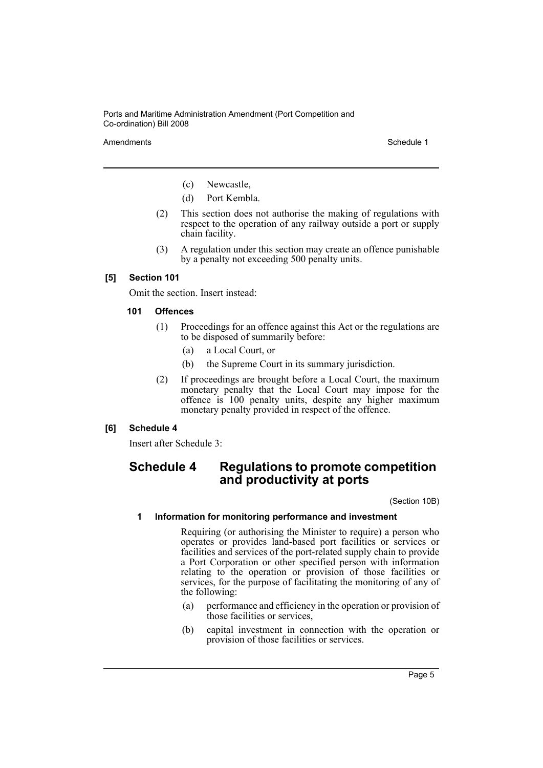Amendments **Schedule 1** Schedule 1

- (c) Newcastle,
- (d) Port Kembla.
- (2) This section does not authorise the making of regulations with respect to the operation of any railway outside a port or supply chain facility.
- (3) A regulation under this section may create an offence punishable by a penalty not exceeding 500 penalty units.

#### **[5] Section 101**

Omit the section. Insert instead:

#### **101 Offences**

- (1) Proceedings for an offence against this Act or the regulations are to be disposed of summarily before:
	- (a) a Local Court, or
	- (b) the Supreme Court in its summary jurisdiction.
- (2) If proceedings are brought before a Local Court, the maximum monetary penalty that the Local Court may impose for the offence is 100 penalty units, despite any higher maximum monetary penalty provided in respect of the offence.

#### **[6] Schedule 4**

Insert after Schedule 3:

### **Schedule 4 Regulations to promote competition and productivity at ports**

(Section 10B)

#### **1 Information for monitoring performance and investment**

Requiring (or authorising the Minister to require) a person who operates or provides land-based port facilities or services or facilities and services of the port-related supply chain to provide a Port Corporation or other specified person with information relating to the operation or provision of those facilities or services, for the purpose of facilitating the monitoring of any of the following:

- (a) performance and efficiency in the operation or provision of those facilities or services,
- (b) capital investment in connection with the operation or provision of those facilities or services.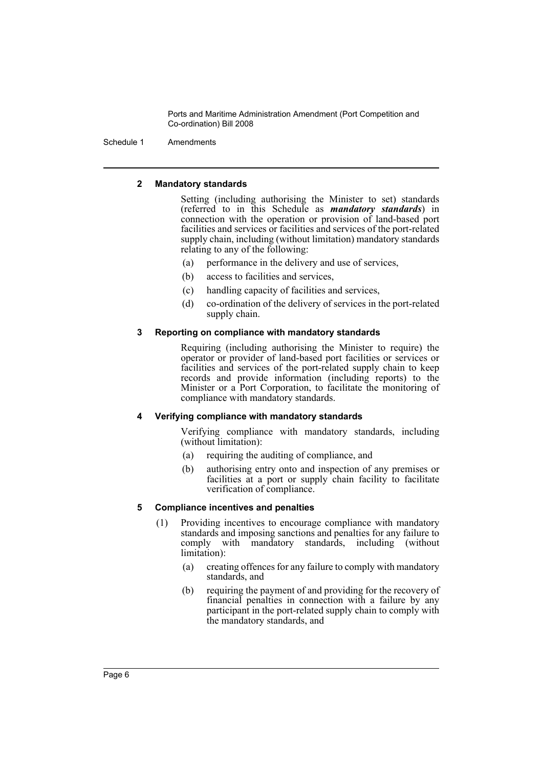Schedule 1 Amendments

#### **2 Mandatory standards**

Setting (including authorising the Minister to set) standards (referred to in this Schedule as *mandatory standards*) in connection with the operation or provision of land-based port facilities and services or facilities and services of the port-related supply chain, including (without limitation) mandatory standards relating to any of the following:

- (a) performance in the delivery and use of services,
- (b) access to facilities and services,
- (c) handling capacity of facilities and services,
- (d) co-ordination of the delivery of services in the port-related supply chain.

#### **3 Reporting on compliance with mandatory standards**

Requiring (including authorising the Minister to require) the operator or provider of land-based port facilities or services or facilities and services of the port-related supply chain to keep records and provide information (including reports) to the Minister or a Port Corporation, to facilitate the monitoring of compliance with mandatory standards.

#### **4 Verifying compliance with mandatory standards**

Verifying compliance with mandatory standards, including (without limitation):

- (a) requiring the auditing of compliance, and
- (b) authorising entry onto and inspection of any premises or facilities at a port or supply chain facility to facilitate verification of compliance.

#### **5 Compliance incentives and penalties**

- (1) Providing incentives to encourage compliance with mandatory standards and imposing sanctions and penalties for any failure to comply with mandatory standards, including (without limitation):
	- (a) creating offences for any failure to comply with mandatory standards, and
	- (b) requiring the payment of and providing for the recovery of financial penalties in connection with a failure by any participant in the port-related supply chain to comply with the mandatory standards, and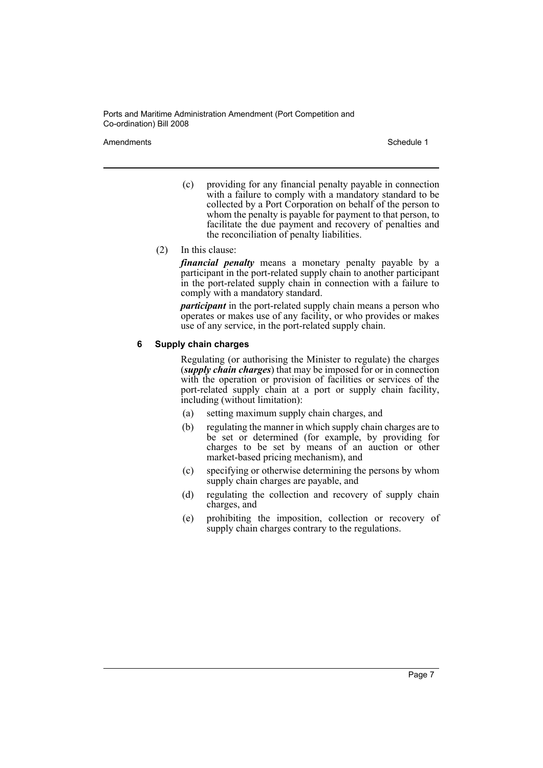Amendments **Amendments** Schedule 1

- (c) providing for any financial penalty payable in connection with a failure to comply with a mandatory standard to be collected by a Port Corporation on behalf of the person to whom the penalty is payable for payment to that person, to facilitate the due payment and recovery of penalties and the reconciliation of penalty liabilities.
- (2) In this clause:

*financial penalty* means a monetary penalty payable by a participant in the port-related supply chain to another participant in the port-related supply chain in connection with a failure to comply with a mandatory standard.

*participant* in the port-related supply chain means a person who operates or makes use of any facility, or who provides or makes use of any service, in the port-related supply chain.

#### **6 Supply chain charges**

Regulating (or authorising the Minister to regulate) the charges (*supply chain charges*) that may be imposed for or in connection with the operation or provision of facilities or services of the port-related supply chain at a port or supply chain facility, including (without limitation):

- (a) setting maximum supply chain charges, and
- (b) regulating the manner in which supply chain charges are to be set or determined (for example, by providing for charges to be set by means of an auction or other market-based pricing mechanism), and
- (c) specifying or otherwise determining the persons by whom supply chain charges are payable, and
- (d) regulating the collection and recovery of supply chain charges, and
- (e) prohibiting the imposition, collection or recovery of supply chain charges contrary to the regulations.